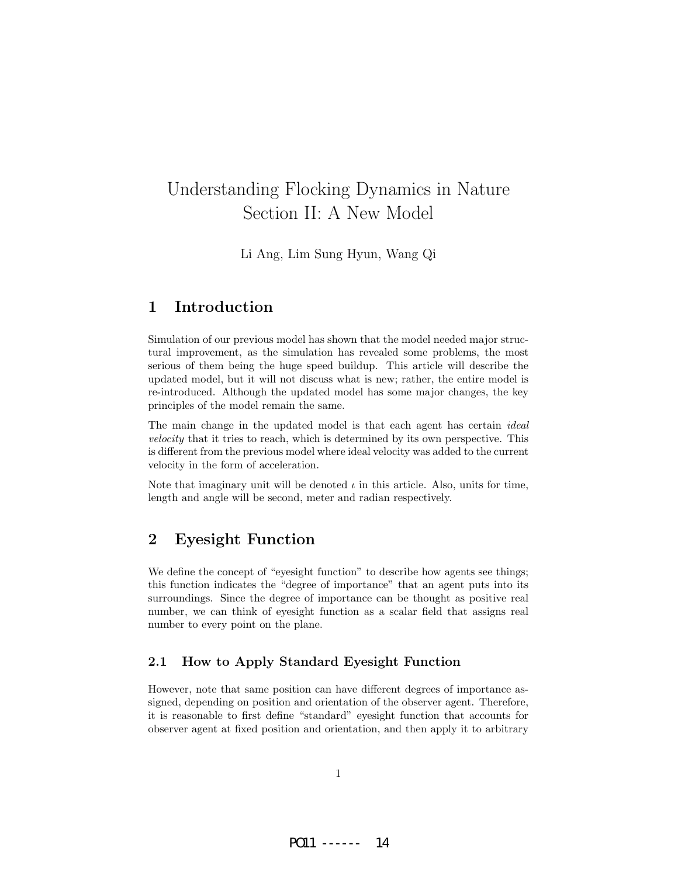# Understanding Flocking Dynamics in Nature Section II: A New Model

Li Ang, Lim Sung Hyun, Wang Qi

### 1 Introduction

Simulation of our previous model has shown that the model needed major structural improvement, as the simulation has revealed some problems, the most serious of them being the huge speed buildup. This article will describe the updated model, but it will not discuss what is new; rather, the entire model is re-introduced. Although the updated model has some major changes, the key principles of the model remain the same.

The main change in the updated model is that each agent has certain *ideal* velocity that it tries to reach, which is determined by its own perspective. This is different from the previous model where ideal velocity was added to the current velocity in the form of acceleration.

Note that imaginary unit will be denoted  $\iota$  in this article. Also, units for time, length and angle will be second, meter and radian respectively.

## 2 Eyesight Function

We define the concept of "eyesight function" to describe how agents see things; this function indicates the "degree of importance" that an agent puts into its surroundings. Since the degree of importance can be thought as positive real number, we can think of eyesight function as a scalar field that assigns real number to every point on the plane.

### 2.1 How to Apply Standard Eyesight Function

However, note that same position can have different degrees of importance assigned, depending on position and orientation of the observer agent. Therefore, it is reasonable to first define "standard" eyesight function that accounts for observer agent at fixed position and orientation, and then apply it to arbitrary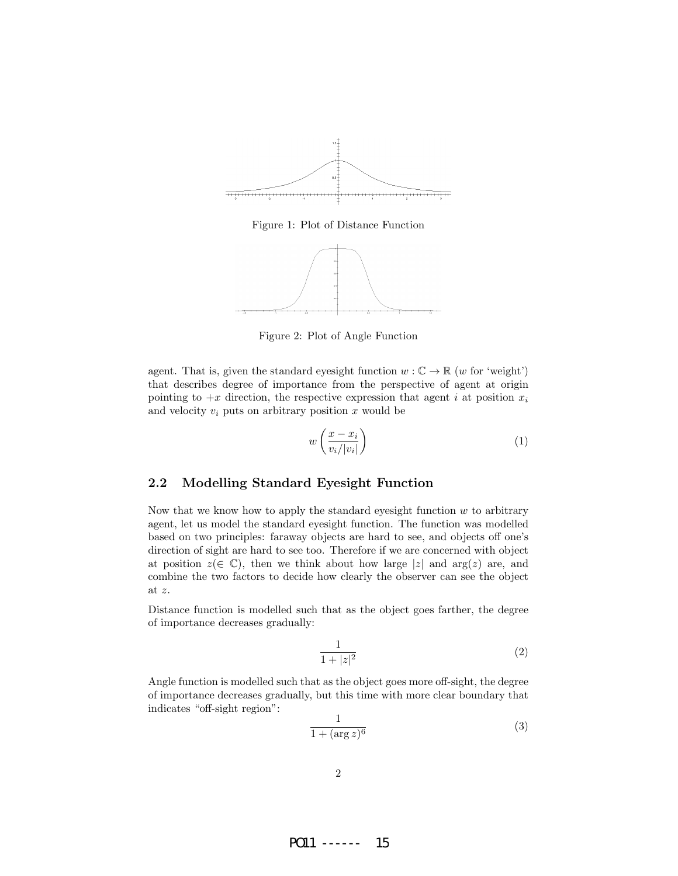

Figure 1: Plot of Distance Function



Figure 2: Plot of Angle Function

agent. That is, given the standard eyesight function  $w : \mathbb{C} \to \mathbb{R}$  (w for 'weight') that describes degree of importance from the perspective of agent at origin pointing to  $+x$  direction, the respective expression that agent i at position  $x_i$ and velocity  $v_i$  puts on arbitrary position x would be

$$
w\left(\frac{x-x_i}{v_i/|v_i|}\right) \tag{1}
$$

### 2.2 Modelling Standard Eyesight Function

Now that we know how to apply the standard eyesight function  $w$  to arbitrary agent, let us model the standard eyesight function. The function was modelled based on two principles: faraway objects are hard to see, and objects off one's direction of sight are hard to see too. Therefore if we are concerned with object at position  $z(\in \mathbb{C})$ , then we think about how large |z| and arg(z) are, and combine the two factors to decide how clearly the observer can see the object at z.

Distance function is modelled such that as the object goes farther, the degree of importance decreases gradually:

$$
\frac{1}{1+|z|^2} \tag{2}
$$

Angle function is modelled such that as the object goes more off-sight, the degree of importance decreases gradually, but this time with more clear boundary that indicates "off-sight region":

$$
\frac{1}{1 + (\arg z)^6} \tag{3}
$$

PO11 ------ 15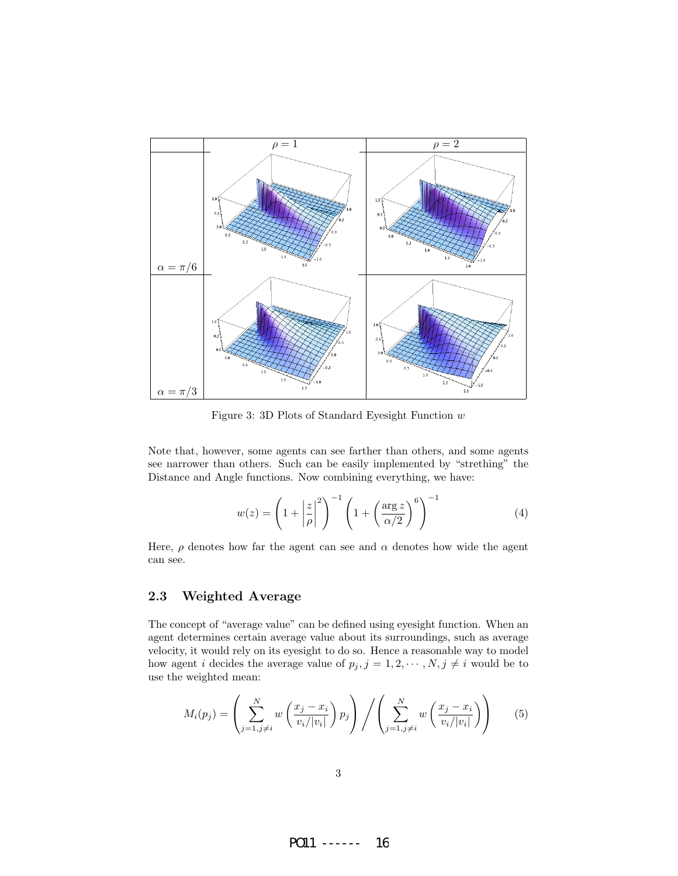

Figure 3: 3D Plots of Standard Eyesight Function w

Note that, however, some agents can see farther than others, and some agents see narrower than others. Such can be easily implemented by "strething" the Distance and Angle functions. Now combining everything, we have:

$$
w(z) = \left(1 + \left|\frac{z}{\rho}\right|^2\right)^{-1} \left(1 + \left(\frac{\arg z}{\alpha/2}\right)^6\right)^{-1}
$$
(4)

Here,  $\rho$  denotes how far the agent can see and  $\alpha$  denotes how wide the agent can see.

### 2.3 Weighted Average

The concept of "average value" can be defined using eyesight function. When an agent determines certain average value about its surroundings, such as average velocity, it would rely on its eyesight to do so. Hence a reasonable way to model how agent *i* decides the average value of  $p_j$ ,  $j = 1, 2, \dots, N$ ,  $j \neq i$  would be to use the weighted mean:

$$
M_i(p_j) = \left(\sum_{j=1, j\neq i}^N w\left(\frac{x_j - x_i}{v_i/|v_i|}\right) p_j\right) / \left(\sum_{j=1, j\neq i}^N w\left(\frac{x_j - x_i}{v_i/|v_i|}\right)\right) \tag{5}
$$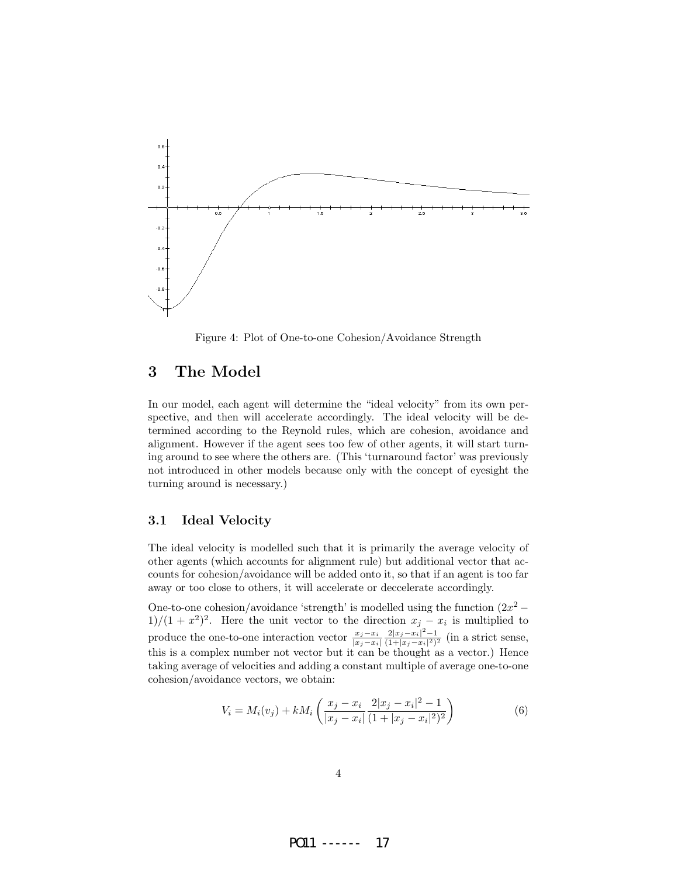

Figure 4: Plot of One-to-one Cohesion/Avoidance Strength

### 3 The Model

In our model, each agent will determine the "ideal velocity" from its own perspective, and then will accelerate accordingly. The ideal velocity will be determined according to the Reynold rules, which are cohesion, avoidance and alignment. However if the agent sees too few of other agents, it will start turning around to see where the others are. (This 'turnaround factor' was previously not introduced in other models because only with the concept of eyesight the turning around is necessary.)

### 3.1 Ideal Velocity

The ideal velocity is modelled such that it is primarily the average velocity of other agents (which accounts for alignment rule) but additional vector that accounts for cohesion/avoidance will be added onto it, so that if an agent is too far away or too close to others, it will accelerate or deccelerate accordingly.

One-to-one cohesion/avoidance 'strength' is modelled using the function  $(2x^2 1/(1+x^2)^2$ . Here the unit vector to the direction  $x_j - x_i$  is multiplied to produce the one-to-one interaction vector  $\frac{x_j - x_i}{|x_j - x_i|}$  $2|x_j-x_i|^2-1$  $\frac{2|x_j-x_i|}{(1+|x_j-x_i|^2)^2}$  (in a strict sense, this is a complex number not vector but it can be thought as a vector.) Hence taking average of velocities and adding a constant multiple of average one-to-one cohesion/avoidance vectors, we obtain:

$$
V_i = M_i(v_j) + kM_i \left( \frac{x_j - x_i}{|x_j - x_i|} \frac{2|x_j - x_i|^2 - 1}{(1 + |x_j - x_i|^2)^2} \right)
$$
(6)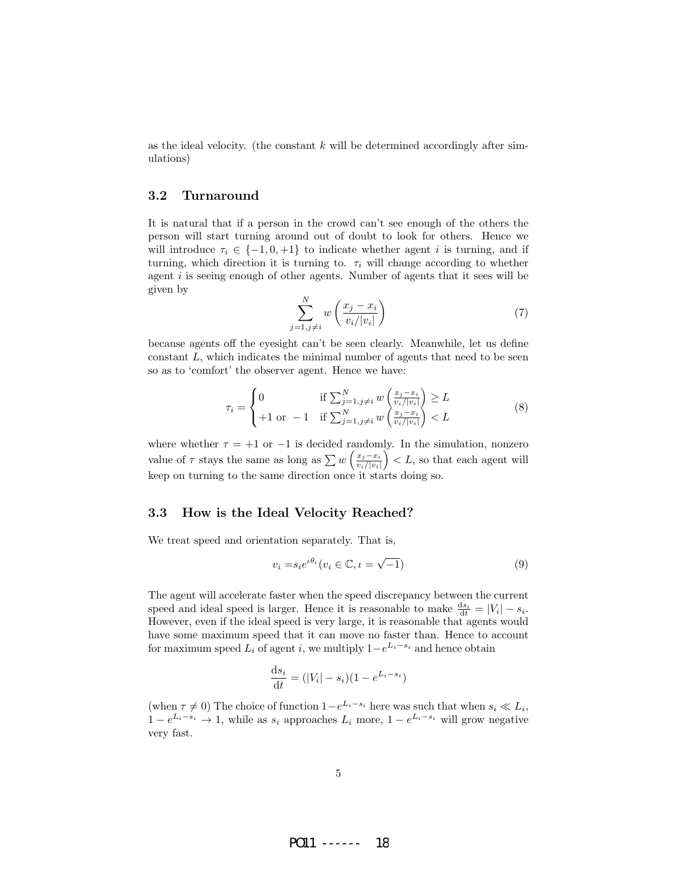as the ideal velocity. (the constant  $k$  will be determined accordingly after simulations)

#### 3.2 Turnaround

It is natural that if a person in the crowd can't see enough of the others the person will start turning around out of doubt to look for others. Hence we will introduce  $\tau_i \in \{-1, 0, +1\}$  to indicate whether agent i is turning, and if turning, which direction it is turning to.  $\tau_i$  will change according to whether agent i is seeing enough of other agents. Number of agents that it sees will be given by

$$
\sum_{j=1,j\neq i}^{N} w\left(\frac{x_j - x_i}{v_i/|v_i|}\right) \tag{7}
$$

because agents off the eyesight can't be seen clearly. Meanwhile, let us define constant L, which indicates the minimal number of agents that need to be seen so as to 'comfort' the observer agent. Hence we have:

$$
\tau_i = \begin{cases} 0 & \text{if } \sum_{j=1, j \neq i}^N w\left(\frac{x_j - x_i}{v_i / |v_i|}\right) \ge L \\ +1 & \text{or } -1 & \text{if } \sum_{j=1, j \neq i}^N w\left(\frac{x_j - x_i}{v_i / |v_i|}\right) < L \end{cases} \tag{8}
$$

where whether  $\tau = +1$  or  $-1$  is decided randomly. In the simulation, nonzero value of  $\tau$  stays the same as long as  $\sum w \left( \frac{x_j - x_i}{w_j + w_j} \right)$  $\left(\frac{x_j - x_i}{v_i/|v_i|}\right)$  < L, so that each agent will keep on turning to the same direction once it starts doing so.

### 3.3 How is the Ideal Velocity Reached?

We treat speed and orientation separately. That is,

$$
v_i = s_i e^{i\theta_i} (v_i \in \mathbb{C}, \iota = \sqrt{-1})
$$
\n(9)

The agent will accelerate faster when the speed discrepancy between the current speed and ideal speed is larger. Hence it is reasonable to make  $\frac{ds_i}{dt} = |V_i| - s_i$ . However, even if the ideal speed is very large, it is reasonable that agents would have some maximum speed that it can move no faster than. Hence to account for maximum speed  $L_i$  of agent i, we multiply  $1-e^{L_i-s_i}$  and hence obtain

$$
\frac{\mathrm{d}s_i}{\mathrm{d}t} = (|V_i| - s_i)(1 - e^{L_i - s_i})
$$

(when  $\tau \neq 0$ ) The choice of function  $1-e^{L_i-s_i}$  here was such that when  $s_i \ll L_i$ ,  $1 - e^{L_i - s_i} \to 1$ , while as  $s_i$  approaches  $L_i$  more,  $1 - e^{L_i - s_i}$  will grow negative very fast.